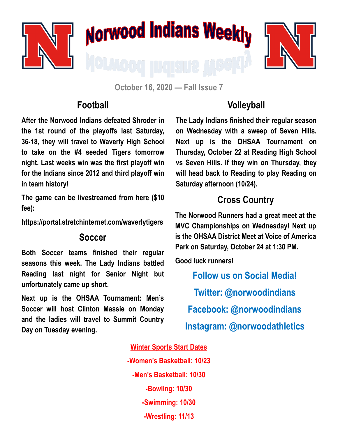

**October 16, 2020 — Fall Issue 7**

### **Football**

**After the Norwood Indians defeated Shroder in the 1st round of the playoffs last Saturday, 36-18, they will travel to Waverly High School to take on the #4 seeded Tigers tomorrow night. Last weeks win was the first playoff win for the Indians since 2012 and third playoff win in team history!**

**The game can be livestreamed from here (\$10 fee):** 

**https://portal.stretchinternet.com/waverlytigers**

#### **Soccer**

**Both Soccer teams finished their regular seasons this week. The Lady Indians battled Reading last night for Senior Night but unfortunately came up short.** 

**Next up is the OHSAA Tournament: Men's Soccer will host Clinton Massie on Monday and the ladies will travel to Summit Country Day on Tuesday evening.** 

# **Volleyball**

**The Lady Indians finished their regular season on Wednesday with a sweep of Seven Hills. Next up is the OHSAA Tournament on Thursday, October 22 at Reading High School vs Seven Hills. If they win on Thursday, they will head back to Reading to play Reading on Saturday afternoon (10/24).** 

# **Cross Country**

**The Norwood Runners had a great meet at the MVC Championships on Wednesday! Next up is the OHSAA District Meet at Voice of America Park on Saturday, October 24 at 1:30 PM.** 

**Good luck runners!**

**Follow us on Social Media! Twitter: @norwoodindians Facebook: @norwoodindians Instagram: @norwoodathletics**

#### **Winter Sports Start Dates**

**-Women's Basketball: 10/23 -Men's Basketball: 10/30 -Bowling: 10/30 -Swimming: 10/30 -Wrestling: 11/13**